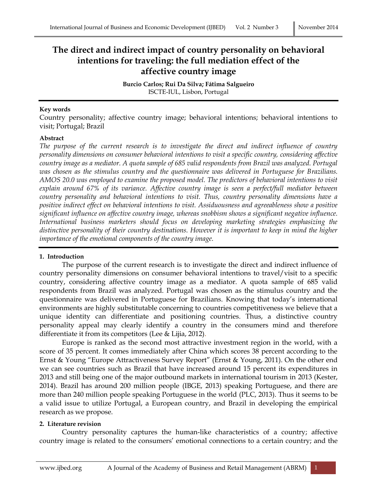# **The direct and indirect impact of country personality on behavioral intentions for traveling: the full mediation effect of the affective country image**

**Burcio Carlos; Rui Da Silva; Fátima Salgueiro** ISCTE-IUL, Lisbon, Portugal

#### **Key words**

Country personality; affective country image; behavioral intentions; behavioral intentions to visit; Portugal; Brazil

### **Abstract**

The purpose of the current research is to investigate the direct and indirect influence of country *personality dimensions on consumer behavioral intentions to visit a specific country, considering affective country image as a mediator. A quota sample of 685 valid respondents from Brazil was analyzed. Portugal was chosen as the stimulus country and the questionnaire was delivered in Portuguese for Brazilians. AMOS 20.0 was employed to examine the proposed model. The predictors of behavioral intentions to visit explain around 67% of its variance. Affective country image is seen a perfect/full mediator between country personality and behavioral intentions to visit. Thus, country personality dimensions have a positive indirect effect on behavioral intentions to visit. Assiduousness and agreeableness show a positive significant influence on affective country image, whereas snobbism shows a significant negative influence. International business marketers should focus on developing marketing strategies emphasizing the distinctive personality of their country destinations. However it is important to keep in mind the higher importance of the emotional components of the country image.*

## **1. Introduction**

The purpose of the current research is to investigate the direct and indirect influence of country personality dimensions on consumer behavioral intentions to travel/visit to a specific country, considering affective country image as a mediator. A quota sample of 685 valid respondents from Brazil was analyzed. Portugal was chosen as the stimulus country and the questionnaire was delivered in Portuguese for Brazilians. Knowing that today's international environments are highly substitutable concerning to countries competitiveness we believe that a unique identity can differentiate and positioning countries. Thus, a distinctive country personality appeal may clearly identify a country in the consumers mind and therefore differentiate it from its competitors (Lee & Lijia, 2012).

Europe is ranked as the second most attractive investment region in the world, with a score of 35 percent. It comes immediately after China which scores 38 percent according to the Ernst & Young "Europe Attractiveness Survey Report" (Ernst & Young, 2011). On the other end we can see countries such as Brazil that have increased around 15 percent its expenditures in 2013 and still being one of the major outbound markets in international tourism in 2013 (Kester, 2014). Brazil has around 200 million people (IBGE, 2013) speaking Portuguese, and there are more than 240 million people speaking Portuguese in the world (PLC, 2013). Thus it seems to be a valid issue to utilize Portugal, a European country, and Brazil in developing the empirical research as we propose.

## **2. Literature revision**

Country personality captures the human-like characteristics of a country; affective country image is related to the consumers' emotional connections to a certain country; and the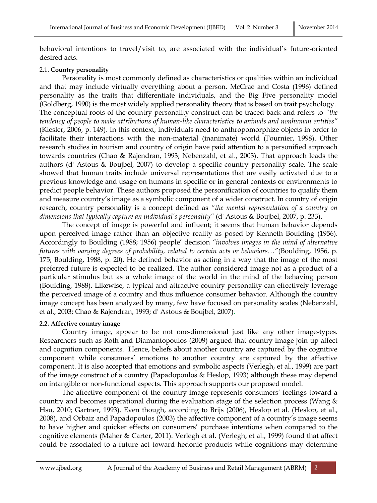behavioral intentions to travel/visit to, are associated with the individual's future-oriented desired acts.

## 2.1. **Country personality**

Personality is most commonly defined as characteristics or qualities within an individual and that may include virtually everything about a person. McCrae and Costa (1996) defined personality as the traits that differentiate individuals, and the Big Five personality model (Goldberg, 1990) is the most widely applied personality theory that is based on trait psychology. The conceptual roots of the country personality construct can be traced back and refers to *"the tendency of people to make attributions of human-like characteristics to animals and nonhuman entities"* (Kiesler, 2006, p. 149). In this context, individuals need to anthropomorphize objects in order to facilitate their interactions with the non-material (inanimate) world (Fournier, 1998). Other research studies in tourism and country of origin have paid attention to a personified approach towards countries (Chao & Rajendran, 1993; Nebenzahl, et al., 2003). That approach leads the authors (d' Astous & Boujbel, 2007) to develop a specific country personality scale. The scale showed that human traits include universal representations that are easily activated due to a previous knowledge and usage on humans in specific or in general contexts or environments to predict people behavior. These authors proposed the personification of countries to qualify them and measure country's image as a symbolic component of a wider construct. In country of origin research, country personality is a concept defined as *"the mental representation of a country on dimensions that typically capture an individual's personality"* (d' Astous & Boujbel, 2007, p. 233).

The concept of image is powerful and influent; it seems that human behavior depends upon perceived image rather than an objective reality as posed by Kenneth Boulding (1956). Accordingly to Boulding (1988; 1956) people' decision *"involves images in the mind of alternative futures with varying degrees of probability, related to certain acts or behaviors…"*(Boulding, 1956, p. 175; Boulding, 1988, p. 20). He defined behavior as acting in a way that the image of the most preferred future is expected to be realized. The author considered image not as a product of a particular stimulus but as a whole image of the world in the mind of the behaving person (Boulding, 1988). Likewise, a typical and attractive country personality can effectively leverage the perceived image of a country and thus influence consumer behavior. Although the country image concept has been analyzed by many, few have focused on personality scales (Nebenzahl, et al., 2003; Chao & Rajendran, 1993; d' Astous & Boujbel, 2007).

# **2.2. Affective country image**

Country image, appear to be not one-dimensional just like any other image-types. Researchers such as Roth and Diamantopoulos (2009) argued that country image join up affect and cognition components. Hence, beliefs about another country are captured by the cognitive component while consumers' emotions to another country are captured by the affective component. It is also accepted that emotions and symbolic aspects (Verlegh, et al., 1999) are part of the image construct of a country (Papadopoulos & Heslop, 1993) although these may depend on intangible or non-functional aspects. This approach supports our proposed model.

The affective component of the country image represents consumers' feelings toward a country and becomes operational during the evaluation stage of the selection process (Wang  $&$ Hsu, 2010; Gartner, 1993). Even though, according to Brijs (2006), Heslop et al. (Heslop, et al., 2008), and Orbaiz and Papadopoulos (2003) the affective component of a country's image seems to have higher and quicker effects on consumers' purchase intentions when compared to the cognitive elements (Maher & Carter, 2011). Verlegh et al. (Verlegh, et al., 1999) found that affect could be associated to a future act toward hedonic products while cognitions may determine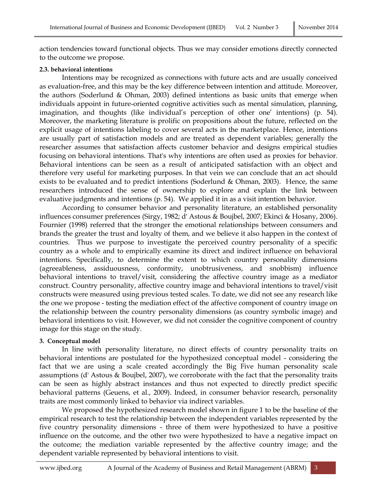action tendencies toward functional objects. Thus we may consider emotions directly connected to the outcome we propose.

#### **2.3. behavioral intentions**

Intentions may be recognized as connections with future acts and are usually conceived as evaluation-free, and this may be the key difference between intention and attitude. Moreover, the authors (Soderlund & Ohman, 2003) defined intentions as basic units that emerge when individuals appoint in future-oriented cognitive activities such as mental simulation, planning, imagination, and thoughts (like individual's perception of other one' intentions) (p. 54). Moreover, the marketing literature is prolific on propositions about the future, reflected on the explicit usage of intentions labeling to cover several acts in the marketplace. Hence, intentions are usually part of satisfaction models and are treated as dependent variables; generally the researcher assumes that satisfaction affects customer behavior and designs empirical studies focusing on behavioral intentions. That's why intentions are often used as proxies for behavior. Behavioral intentions can be seen as a result of anticipated satisfaction with an object and therefore very useful for marketing purposes. In that vein we can conclude that an act should exists to be evaluated and to predict intentions (Soderlund & Ohman, 2003). Hence, the same researchers introduced the sense of ownership to explore and explain the link between evaluative judgments and intentions (p. 54). We applied it in as a visit intention behavior.

According to consumer behavior and personality literature, an established personality influences consumer preferences (Sirgy, 1982; d' Astous & Boujbel, 2007; Ekinci & Hosany, 2006). Fournier (1998) referred that the stronger the emotional relationships between consumers and brands the greater the trust and loyalty of them, and we believe it also happen in the context of countries. Thus we purpose to investigate the perceived country personality of a specific country as a whole and to empirically examine its direct and indirect influence on behavioral intentions. Specifically, to determine the extent to which country personality dimensions (agreeableness, assiduousness, conformity, unobtrusiveness, and snobbism) influence behavioral intentions to travel/visit, considering the affective country image as a mediator construct. Country personality, affective country image and behavioral intentions to travel/visit constructs were measured using previous tested scales. To date, we did not see any research like the one we propose - testing the mediation effect of the affective component of country image on the relationship between the country personality dimensions (as country symbolic image) and behavioral intentions to visit. However, we did not consider the cognitive component of country image for this stage on the study.

## **3. Conceptual model**

In line with personality literature, no direct effects of country personality traits on behavioral intentions are postulated for the hypothesized conceptual model - considering the fact that we are using a scale created accordingly the Big Five human personality scale assumptions (d' Astous & Boujbel, 2007), we corroborate with the fact that the personality traits can be seen as highly abstract instances and thus not expected to directly predict specific behavioral patterns (Geuens, et al., 2009). Indeed, in consumer behavior research, personality traits are most commonly linked to behavior via indirect variables.

We proposed the hypothesized research model shown in figure 1 to be the baseline of the empirical research to test the relationship between the independent variables represented by the five country personality dimensions - three of them were hypothesized to have a positive influence on the outcome, and the other two were hypothesized to have a negative impact on the outcome; the mediation variable represented by the affective country image; and the dependent variable represented by behavioral intentions to visit.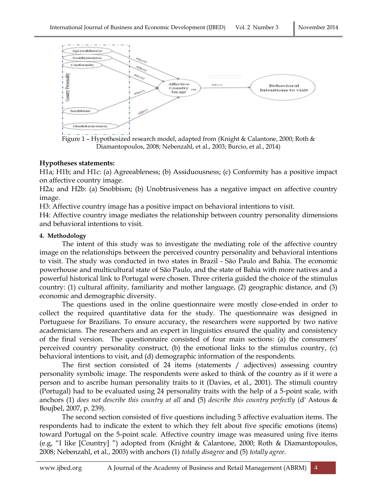

Figure 1 – Hypothesized research model, adapted from (Knight & Calantone, 2000; Roth & Diamantopoulos, 2008; Nebenzahl, et al., 2003; Burcio, et al., 2014)

#### **Hypotheses statements:**

H1a; H1b; and H1c: (a) Agreeableness; (b) Assiduousness; (c) Conformity has a positive impact on affective country image.

H2a; and H2b: (a) Snobbism; (b) Unobtrusiveness has a negative impact on affective country image.

H3: Affective country image has a positive impact on behavioral intentions to visit.

H4: Affective country image mediates the relationship between country personality dimensions and behavioral intentions to visit.

#### **4. Methodology**

The intent of this study was to investigate the mediating role of the affective country image on the relationships between the perceived country personality and behavioral intentions to visit. The study was conducted in two states in Brazil - São Paulo and Bahia. The economic powerhouse and multicultural state of São Paulo, and the state of Bahia with more natives and a powerful historical link to Portugal were chosen. Three criteria guided the choice of the stimulus country: (1) cultural affinity, familiarity and mother language, (2) geographic distance, and (3) economic and demographic diversity.

The questions used in the online questionnaire were mostly close-ended in order to collect the required quantitative data for the study. The questionnaire was designed in Portuguese for Brazilians. To ensure accuracy, the researchers were supported by two native academicians. The researchers and an expert in linguistics ensured the quality and consistency of the final version. The questionnaire consisted of four main sections: (a) the consumers' perceived country personality construct, (b) the emotional links to the stimulus country, (c) behavioral intentions to visit, and (d) demographic information of the respondents.

The first section consisted of 24 items (statements / adjectives) assessing country personality symbolic image. The respondents were asked to think of the country as if it were a person and to ascribe human personality traits to it (Davies, et al., 2001). The stimuli country (Portugal) had to be evaluated using 24 personality traits with the help of a 5-point scale, with anchors (1) *does not describe this country at all* and (5) *describe this country perfectly* (d' Astous & Boujbel, 2007, p. 239).

The second section consisted of five questions including 5 affective evaluation items. The respondents had to indicate the extent to which they felt about five specific emotions (items) toward Portugal on the 5-point scale. Affective country image was measured using five items (e.g, "I like [Country] ") adopted from (Knight & Calantone, 2000; Roth & Diamantopoulos, 2008; Nebenzahl, et al., 2003) with anchors (1) *totally disagree* and (5) *totally agree*.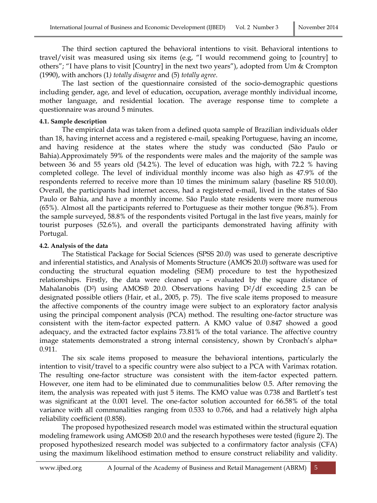The third section captured the behavioral intentions to visit. Behavioral intentions to travel/visit was measured using six items (e.g, "I would recommend going to [country] to others"; "I have plans to visit [Country] in the next two years"), adopted from Um & Crompton (1990), with anchors (1*) totally disagree* and (5) *totally agree*.

The last section of the questionnaire consisted of the socio-demographic questions including gender, age, and level of education, occupation, average monthly individual income, mother language, and residential location. The average response time to complete a questionnaire was around 5 minutes.

### **4.1. Sample description**

The empirical data was taken from a defined quota sample of Brazilian individuals older than 18, having internet access and a registered e-mail, speaking Portuguese, having an income, and having residence at the states where the study was conducted (São Paulo or Bahia).Approximately 59% of the respondents were males and the majority of the sample was between 36 and 55 years old (54.2%). The level of education was high, with 72.2 % having completed college. The level of individual monthly income was also high as 47.9% of the respondents referred to receive more than 10 times the minimum salary (baseline R\$ 510.00). Overall, the participants had internet access, had a registered e-mail, lived in the states of São Paulo or Bahia, and have a monthly income. São Paulo state residents were more numerous (65%). Almost all the participants referred to Portuguese as their mother tongue (96.8%). From the sample surveyed, 58.8% of the respondents visited Portugal in the last five years, mainly for tourist purposes (52.6%), and overall the participants demonstrated having affinity with Portugal.

## **4.2. Analysis of the data**

The Statistical Package for Social Sciences (SPSS 20.0) was used to generate descriptive and inferential statistics, and Analysis of Moments Structure (AMOS 20.0) software was used for conducting the structural equation modeling (SEM) procedure to test the hypothesized relationships. Firstly, the data were cleaned up – evaluated by the square distance of Mahalanobis (D<sup>2</sup>) using AMOS® 20.0. Observations having D<sup>2</sup>/df exceeding 2.5 can be designated possible otliers (Hair, et al., 2005, p. 75). The five scale items proposed to measure the affective components of the country image were subject to an exploratory factor analysis using the principal component analysis (PCA) method. The resulting one-factor structure was consistent with the item-factor expected pattern. A KMO value of 0.847 showed a good adequacy, and the extracted factor explains 73.81% of the total variance. The affective country image statements demonstrated a strong internal consistency, shown by Cronbach's alpha= 0.911.

The six scale items proposed to measure the behavioral intentions, particularly the intention to visit/travel to a specific country were also subject to a PCA with Varimax rotation. The resulting one-factor structure was consistent with the item-factor expected pattern. However, one item had to be eliminated due to communalities below 0.5. After removing the item, the analysis was repeated with just 5 items. The KMO value was 0.738 and Bartlett's test was significant at the 0.001 level. The one-factor solution accounted for 66.58% of the total variance with all communalities ranging from 0.533 to 0.766, and had a relatively high alpha reliability coefficient (0.858).

The proposed hypothesized research model was estimated within the structural equation modeling framework using AMOS® 20.0 and the research hypotheses were tested (figure 2). The proposed hypothesized research model was subjected to a confirmatory factor analysis (CFA) using the maximum likelihood estimation method to ensure construct reliability and validity.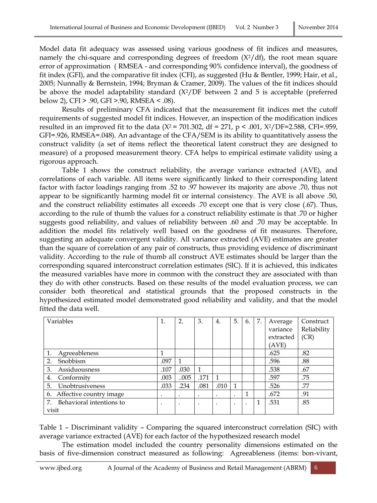Model data fit adequacy was assessed using various goodness of fit indices and measures, namely the chi-square and corresponding degrees of freedom  $(X^2/df)$ , the root mean square error of approximation ( RMSEA - and corresponding 90% confidence interval), the goodness of fit index (GFI), and the comparative fit index (CFI), as suggested (Hu & Bentler, 1999; Hair, et al., 2005; Nunnally & Bernstein, 1994; Bryman & Cramer, 2009). The values of the fit indices should be above the model adaptability standard  $(X^2/DF)$  between 2 and 5 is acceptable (preferred below 2), CFI > .90, GFI >.90, RMSEA < .08).

Results of preliminary CFA indicated that the measurement fit indices met the cutoff requirements of suggested model fit indices. However, an inspection of the modification indices resulted in an improved fit to the data ( $X^2$  = 701.302, df = 271, p < .001,  $X^2/DF$ =2.588, CFI=.959, GFI=.926, RMSEA=.048). An advantage of the CFA/SEM is its ability to quantitatively assess the construct validity (a set of items reflect the theoretical latent construct they are designed to measure) of a proposed measurement theory. CFA helps to empirical estimate validity using a rigorous approach.

Table 1 shows the construct reliability, the average variance extracted (AVE), and correlations of each variable. All items were significantly linked to their corresponding latent factor with factor loadings ranging from .52 to .97 however its majority are above .70, thus not appear to be significantly harming model fit or internal consistency. The AVE is all above .50, and the construct reliability estimates all exceeds .70 except one that is very close (.67). Thus, according to the rule of thumb the values for a construct reliability estimate is that .70 or higher suggests good reliability, and values of reliability between .60 and .70 may be acceptable. In addition the model fits relatively well based on the goodness of fit measures. Therefore, suggesting an adequate convergent validity. All variance extracted (AVE) estimates are greater than the square of correlation of any pair of constructs, thus providing evidence of discriminant validity. According to the rule of thumb all construct AVE estimates should be larger than the corresponding squared interconstruct correlation estimates (SIC). If it is achieved, this indicates the measured variables have more in common with the construct they are associated with than they do with other constructs. Based on these results of the model evaluation process, we can consider both theoretical and statistical grounds that the proposed constructs in the hypothesized estimated model demonstrated good reliability and validity, and that the model fitted the data well.

| Variables                   | 1.        | 2.        | 3.   | 4.      | 5.        | 6.        | 7. | Average   | Construct   |
|-----------------------------|-----------|-----------|------|---------|-----------|-----------|----|-----------|-------------|
|                             |           |           |      |         |           |           |    | variance  | Reliability |
|                             |           |           |      |         |           |           |    | extracted | (CR)        |
|                             |           |           |      |         |           |           |    | (AVE)     |             |
| Agreeableness<br>1.         |           |           |      |         |           |           |    | .625      | .82         |
| Snobbism<br>2.              | .097      |           |      |         |           |           |    | .596      | .88         |
| Assiduousness<br>3.         | .107      | .030      | 1    |         |           |           |    | .538      | .67         |
| Conformity<br>4.            | .003      | 005       | .171 |         |           |           |    | .597      | .75         |
| 5.<br>Unobtrusiveness       | .033      | .234      | .081 | .010    | 1         |           |    | .526      | .77         |
| 6. Affective country image  | $\bullet$ | $\bullet$ | ٠    | $\cdot$ | $\cdot$   | 1         |    | .672      | .91         |
| 7. Behavioral intentions to | $\bullet$ | $\bullet$ |      | ٠       | $\bullet$ | $\bullet$ |    | .531      | .85         |
| visit                       |           |           |      |         |           |           |    |           |             |

Table 1 – Discriminant validity – Comparing the squared interconstruct correlation (SIC) with average variance extracted (AVE) for each factor of the hypothesized research model

The estimation model included the country personality dimensions estimated on the basis of five-dimension construct measured as following: Agreeableness (items: bon-vivant,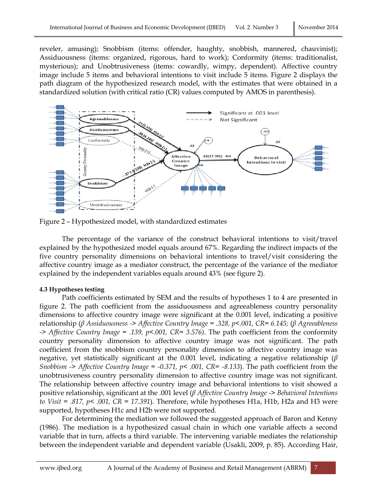reveler, amusing); Snobbism (items: offender, haughty, snobbish, mannered, chauvinist); Assiduousness (items: organized, rigorous, hard to work); Conformity (items: traditionalist, mysterious); and Unobtrusiveness (items: cowardly, wimpy, dependent). Affective country image include 5 items and behavioral intentions to visit include 5 items. Figure 2 displays the path diagram of the hypothesized research model, with the estimates that were obtained in a standardized solution (with critical ratio (CR) values computed by AMOS in parenthesis).



Figure 2 – Hypothesized model, with standardized estimates

The percentage of the variance of the construct behavioral intentions to visit/travel explained by the hypothesized model equals around 67%. Regarding the indirect impacts of the five country personality dimensions on behavioral intentions to travel/visit considering the affective country image as a mediator construct, the percentage of the variance of the mediator explained by the independent variables equals around 43% (see figure 2).

## **4.3 Hypotheses testing**

Path coefficients estimated by SEM and the results of hypotheses 1 to 4 are presented in figure 2. The path coefficient from the assiduousness and agreeableness country personality dimensions to affective country image were significant at the 0.001 level, indicating a positive relationship (*β Assiduousness -> Affective Country Image = .328, p<.001, CR= 6.145;* (*β Agreeableness -> Affective Country Image = .139, p<.001, CR= 3.576)*. The path coefficient from the conformity country personality dimension to affective country image was not significant. The path coefficient from the snobbism country personality dimension to affective country image was negative, yet statistically significant at the 0.001 level, indicating a negative relationship (*β Snobbism -> Affective Country Image = -0.371, p< .001, CR= -8.133*). The path coefficient from the unobtrusiveness country personality dimension to affective country image was not significant. The relationship between affective country image and behavioral intentions to visit showed a positive relationship, significant at the .001 level (*β Affective Country Image -> Behavioral Intentions to Visit = .817, p< .001, CR = 17.391*). Therefore, while hypotheses H1a, H1b, H2a and H3 were supported, hypotheses H1c and H2b were not supported.

For determining the mediation we followed the suggested approach of Baron and Kenny (1986). The mediation is a hypothesized casual chain in which one variable affects a second variable that in turn, affects a third variable. The intervening variable mediates the relationship between the independent variable and dependent variable (Usakli, 2009, p. 85). According Hair,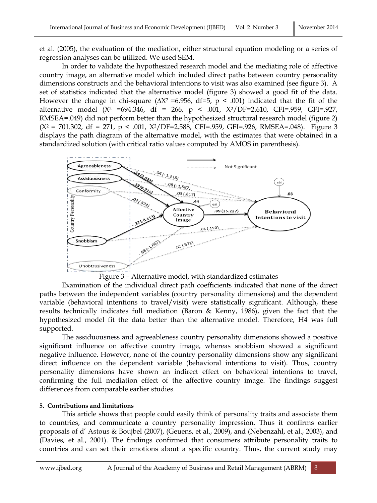et al. (2005), the evaluation of the mediation, either structural equation modeling or a series of regression analyses can be utilized. We used SEM.

In order to validate the hypothesized research model and the mediating role of affective country image, an alternative model which included direct paths between country personality dimensions constructs and the behavioral intentions to visit was also examined (see figure 3). A set of statistics indicated that the alternative model (figure 3) showed a good fit of the data. However the change in chi-square ( $\Delta X^2$  =6.956, df=5, p < .001) indicated that the fit of the alternative model (X<sup>2</sup> =694.346, df = 266, p < .001, X2/DF=2.610, CFI=.959, GFI=.927, RMSEA=.049) did not perform better than the hypothesized structural research model (figure 2)  $(X^2 = 701.302, df = 271, p < .001, X^2/DF = 2.588, CFI = .959, GFI = .926, RMSEA = .048).$  Figure 3 displays the path diagram of the alternative model, with the estimates that were obtained in a standardized solution (with critical ratio values computed by AMOS in parenthesis).



Figure 3 – Alternative model, with standardized estimates

Examination of the individual direct path coefficients indicated that none of the direct paths between the independent variables (country personality dimensions) and the dependent variable (behavioral intentions to travel/visit) were statistically significant. Although, these results technically indicates full mediation (Baron & Kenny, 1986), given the fact that the hypothesized model fit the data better than the alternative model. Therefore, H4 was full supported.

The assiduousness and agreeableness country personality dimensions showed a positive significant influence on affective country image, whereas snobbism showed a significant negative influence. However, none of the country personality dimensions show any significant direct influence on the dependent variable (behavioral intentions to visit). Thus, country personality dimensions have shown an indirect effect on behavioral intentions to travel, confirming the full mediation effect of the affective country image. The findings suggest differences from comparable earlier studies.

# **5. Contributions and limitations**

This article shows that people could easily think of personality traits and associate them to countries, and communicate a country personality impression. Thus it confirms earlier proposals of d' Astous & Boujbel (2007), (Geuens, et al., 2009), and (Nebenzahl, et al., 2003), and (Davies, et al., 2001). The findings confirmed that consumers attribute personality traits to countries and can set their emotions about a specific country. Thus, the current study may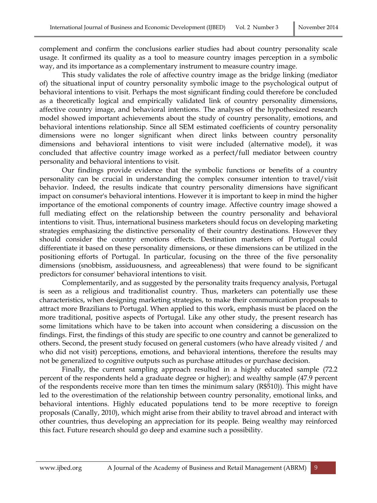complement and confirm the conclusions earlier studies had about country personality scale usage. It confirmed its quality as a tool to measure country images perception in a symbolic way, and its importance as a complementary instrument to measure country image.

This study validates the role of affective country image as the bridge linking (mediator of) the situational input of country personality symbolic image to the psychological output of behavioral intentions to visit. Perhaps the most significant finding could therefore be concluded as a theoretically logical and empirically validated link of country personality dimensions, affective country image, and behavioral intentions. The analyses of the hypothesized research model showed important achievements about the study of country personality, emotions, and behavioral intentions relationship. Since all SEM estimated coefficients of country personality dimensions were no longer significant when direct links between country personality dimensions and behavioral intentions to visit were included (alternative model), it was concluded that affective country image worked as a perfect/full mediator between country personality and behavioral intentions to visit.

Our findings provide evidence that the symbolic functions or benefits of a country personality can be crucial in understanding the complex consumer intention to travel/visit behavior. Indeed, the results indicate that country personality dimensions have significant impact on consumer's behavioral intentions. However it is important to keep in mind the higher importance of the emotional components of country image. Affective country image showed a full mediating effect on the relationship between the country personality and behavioral intentions to visit. Thus, international business marketers should focus on developing marketing strategies emphasizing the distinctive personality of their country destinations. However they should consider the country emotions effects. Destination marketers of Portugal could differentiate it based on these personality dimensions, or these dimensions can be utilized in the positioning efforts of Portugal. In particular, focusing on the three of the five personality dimensions (snobbism, assiduousness, and agreeableness) that were found to be significant predictors for consumer' behavioral intentions to visit.

Complementarily, and as suggested by the personality traits frequency analysis, Portugal is seen as a religious and traditionalist country. Thus, marketers can potentially use these characteristics, when designing marketing strategies, to make their communication proposals to attract more Brazilians to Portugal. When applied to this work, emphasis must be placed on the more traditional, positive aspects of Portugal. Like any other study, the present research has some limitations which have to be taken into account when considering a discussion on the findings. First, the findings of this study are specific to one country and cannot be generalized to others. Second, the present study focused on general customers (who have already visited / and who did not visit) perceptions, emotions, and behavioral intentions, therefore the results may not be generalized to cognitive outputs such as purchase attitudes or purchase decision.

Finally, the current sampling approach resulted in a highly educated sample (72.2 percent of the respondents held a graduate degree or higher); and wealthy sample (47.9 percent of the respondents receive more than ten times the minimum salary (R\$510)). This might have led to the overestimation of the relationship between country personality, emotional links, and behavioral intentions. Highly educated populations tend to be more receptive to foreign proposals (Canally, 2010), which might arise from their ability to travel abroad and interact with other countries, thus developing an appreciation for its people. Being wealthy may reinforced this fact. Future research should go deep and examine such a possibility.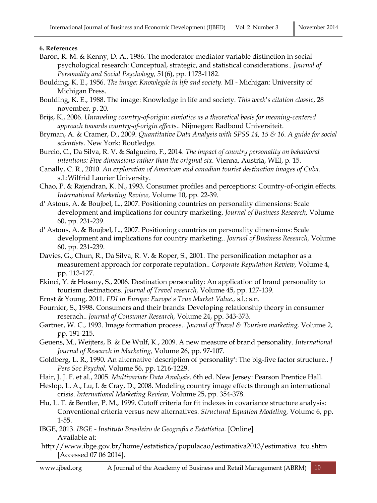#### **6. References**

- Baron, R. M. & Kenny, D. A., 1986. The moderator-mediator variable distinction in social psychological research: Conceptual, strategic, and statistical considerations.. *Journal of Personality and Social Psychology,* 51(6), pp. 1173-1182.
- Boulding, K. E., 1956. *The image: Knowlegde in life and society.* MI Michigan: University of Michigan Press.
- Boulding, K. E., 1988. The image: Knowledge in life and society. *This week's citation classic*, 28 november, p. 20.
- Brijs, K., 2006. *Unraveling country-of-origin: simiotics as a theoretical basis for meaning-centered approach towards country-of-origin effects..* Nijmegen: Radboud Universiteit.
- Bryman, A. & Cramer, D., 2009. *Quantitative Data Analysis with SPSS 14, 15 & 16. A guide for social scientists.* New York: Routledge.
- Burcio, C., Da Silva, R. V. & Salgueiro, F., 2014. *The impact of country personality on behavioral intentions: Five dimensions rather than the original six.* Vienna, Austria, WEI, p. 15.
- Canally, C. R., 2010. *An exploration of American and canadian tourist destination images of Cuba.*  s.l.:Wilfrid Laurier University.
- Chao, P. & Rajendran, K. N., 1993. Consumer profiles and perceptions: Country-of-origin effects. *International Marketing Review,* Volume 10, pp. 22-39.
- d' Astous, A. & Boujbel, L., 2007. Positioning countries on personality dimensions: Scale development and implications for country marketing. *Journal of Business Research,* Volume 60, pp. 231-239.
- d' Astous, A. & Boujbel, L., 2007. Positioning countries on personality dimensions: Scale development and implications for country marketing.. *Journal of Business Research,* Volume 60, pp. 231-239.
- Davies, G., Chun, R., Da Silva, R. V. & Roper, S., 2001. The personification metaphor as a measurement approach for corporate reputation.. *Corporate Reputation Review,* Volume 4, pp. 113-127.
- Ekinci, Y. & Hosany, S., 2006. Destination personality: An application of brand personality to tourism destinations. *Journal of Travel research,* Volume 45, pp. 127-139.
- Ernst & Young, 2011. *FDI in Europe: Europe's True Market Value.,* s.l.: s.n.
- Fournier, S., 1998. Consumers and their brands: Developing relationship theory in consumer reserach.. *Journal of Consumer Research,* Volume 24, pp. 343-373.
- Gartner, W. C., 1993. Image formation process.. *Journal of Travel & Tourism marketing,* Volume 2, pp. 191-215.
- Geuens, M., Weijters, B. & De Wulf, K., 2009. A new measure of brand personality. *International Journal of Research in Marketing,* Volume 26, pp. 97-107.
- Goldberg, L. R., 1990. An alternative 'description of personality': The big-five factor structure.. *J Pers Soc Psychol,* Volume 56, pp. 1216-1229.
- Hair, J. J. F. et al., 2005. *Multivariate Data Analysis.* 6th ed. New Jersey: Pearson Prentice Hall.
- Heslop, L. A., Lu, I. & Cray, D., 2008. Modeling country image effects through an international crisis. *International Marketing Review,* Volume 25, pp. 354-378.
- Hu, L. T. & Bentler, P. M., 1999. Cutoff criteria for fit indexes in covariance structure analysis: Conventional criteria versus new alternatives. *Structural Equation Modeling,* Volume 6, pp. 1-55.
- IBGE, 2013. *IBGE - Instituto Brasileiro de Geografia e Estatística.* [Online] Available at:
- http://www.ibge.gov.br/home/estatistica/populacao/estimativa2013/estimativa\_tcu.shtm [Accessed 07 06 2014].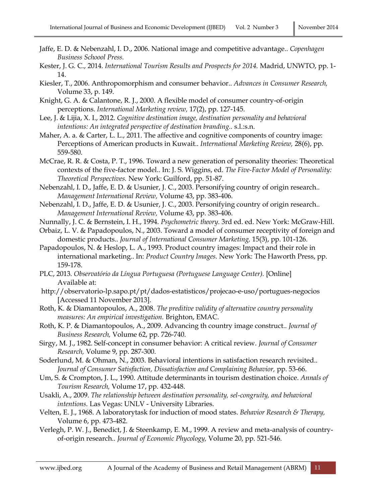- Jaffe, E. D. & Nebenzahl, I. D., 2006. National image and competitive advantage.. *Copenhagen Business Schoool Press.*
- Kester, J. G. C., 2014. *International Tourism Results and Prospects for 2014.* Madrid, UNWTO, pp. 1- 14.
- Kiesler, T., 2006. Anthropomorphism and consumer behavior.. *Advances in Consumer Research,*  Volume 33, p. 149.
- Knight, G. A. & Calantone, R. J., 2000. A flexible model of consumer country-of-origin perceptions. *International Marketing review,* 17(2), pp. 127-145.
- Lee, J. & Lijia, X. I., 2012. *Cognitive destination image, destination personality and behavioral intentions: An integrated perspective of destination branding..* s.l.:s.n.
- Maher, A. a. & Carter, L. L., 2011. The affective and cognitive components of country image: Perceptions of American products in Kuwait.. *International Marketing Review,* 28(6), pp. 559-580.
- McCrae, R. R. & Costa, P. T., 1996. Toward a new generation of personality theories: Theoretical contexts of the five-factor model.. In: J. S. Wiggins, ed. *The Five-Factor Model of Personality: Theoretical Perspectives.* New York: Guilford, pp. 51-87.
- Nebenzahl, I. D., Jaffe, E. D. & Usunier, J. C., 2003. Personifying country of origin research.. *Management International Review,* Volume 43, pp. 383-406.
- Nebenzahl, I. D., Jaffe, E. D. & Usunier, J. C., 2003. Personifying country of origin research.. *Management International Review,* Volume 43, pp. 383-406.
- Nunnally, J. C. & Bernstein, I. H., 1994. *Psychometric theory.* 3rd ed. ed. New York: McGraw-Hill.
- Orbaiz, L. V. & Papadopoulos, N., 2003. Toward a model of consumer receptivity of foreign and domestic products.. *Journal of International Consumer Marketing,* 15(3), pp. 101-126.
- Papadopoulos, N. & Heslop, L. A., 1993. Product country images: Impact and their role in international marketing.. In: *Product Country Images.* New York: The Haworth Press, pp. 159-178.
- PLC, 2013. *Observatório da Língua Portuguesa (Portuguese Language Center).* [Online] Available at:
- http://observatorio-lp.sapo.pt/pt/dados-estatisticos/projecao-e-uso/portugues-negocios [Accessed 11 November 2013].
- Roth, K. & Diamantopoulos, A., 2008. *The preditive validity of alternative country personality measures: An empirical investigation.* Brighton, EMAC.
- Roth, K. P. & Diamantopoulos, A., 2009. Advancing th country image construct.. *Journal of Business Research,* Volume 62, pp. 726-740.
- Sirgy, M. J., 1982. Self-concept in consumer behavior: A critical review. *Journal of Consumer Research,* Volume 9, pp. 287-300.
- Soderlund, M. & Ohman, N., 2003. Behavioral intentions in satisfaction research revisited.. Journal of Consumer Satisfaction, Dissatisfaction and Complaining Behavior, pp. 53-66.
- Um, S. & Crompton, J. L., 1990. Attitude determinants in tourism destination choice. *Annals of Tourism Research,* Volume 17, pp. 432-448.
- Usakli, A., 2009. *The relationship between destination personality, sel-congruity, and behavioral intentions.* Las Vegas: UNLV - University Libraries.
- Velten, E. J., 1968. A laboratorytask for induction of mood states. *Behavior Research & Therapy,*  Volume 6, pp. 473-482.
- Verlegh, P. W. J., Benedict, J. & Steenkamp, E. M., 1999. A review and meta-analysis of countryof-origin research.. *Journal of Economic Phycology,* Volume 20, pp. 521-546.